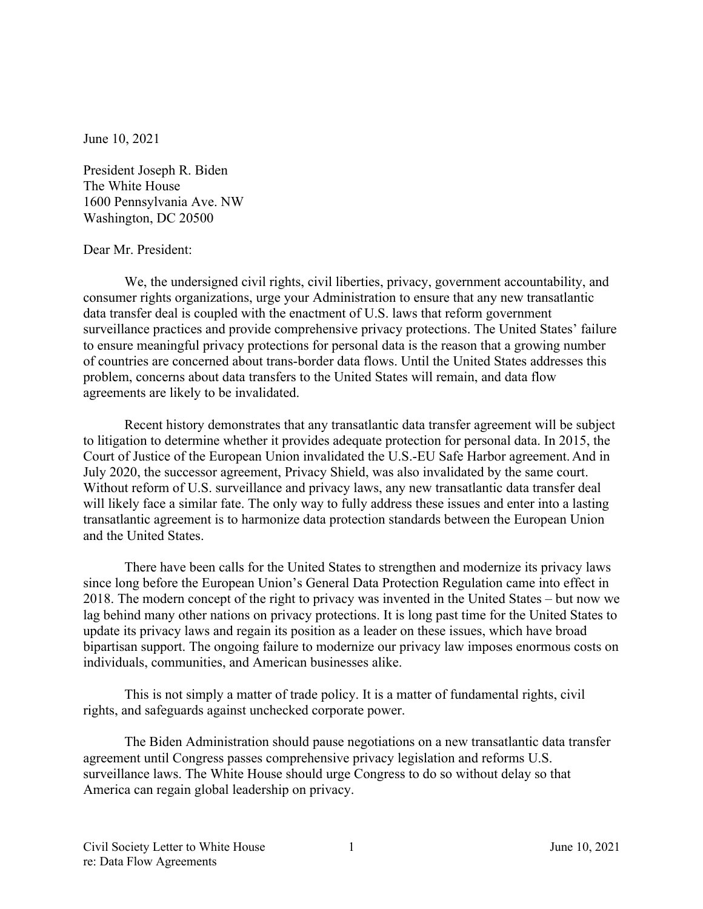June 10, 2021

President Joseph R. Biden The White House 1600 Pennsylvania Ave. NW Washington, DC 20500

## Dear Mr. President:

We, the undersigned civil rights, civil liberties, privacy, government accountability, and consumer rights organizations, urge your Administration to ensure that any new transatlantic data transfer deal is coupled with the enactment of U.S. laws that reform government surveillance practices and provide comprehensive privacy protections. The United States' failure to ensure meaningful privacy protections for personal data is the reason that a growing number of countries are concerned about trans-border data flows. Until the United States addresses this problem, concerns about data transfers to the United States will remain, and data flow agreements are likely to be invalidated.

Recent history demonstrates that any transatlantic data transfer agreement will be subject to litigation to determine whether it provides adequate protection for personal data. In 2015, the Court of Justice of the European Union invalidated the U.S.-EU Safe Harbor agreement. And in July 2020, the successor agreement, Privacy Shield, was also invalidated by the same court. Without reform of U.S. surveillance and privacy laws, any new transatlantic data transfer deal will likely face a similar fate. The only way to fully address these issues and enter into a lasting transatlantic agreement is to harmonize data protection standards between the European Union and the United States.

There have been calls for the United States to strengthen and modernize its privacy laws since long before the European Union's General Data Protection Regulation came into effect in 2018. The modern concept of the right to privacy was invented in the United States – but now we lag behind many other nations on privacy protections. It is long past time for the United States to update its privacy laws and regain its position as a leader on these issues, which have broad bipartisan support. The ongoing failure to modernize our privacy law imposes enormous costs on individuals, communities, and American businesses alike.

This is not simply a matter of trade policy. It is a matter of fundamental rights, civil rights, and safeguards against unchecked corporate power.

The Biden Administration should pause negotiations on a new transatlantic data transfer agreement until Congress passes comprehensive privacy legislation and reforms U.S. surveillance laws. The White House should urge Congress to do so without delay so that America can regain global leadership on privacy.